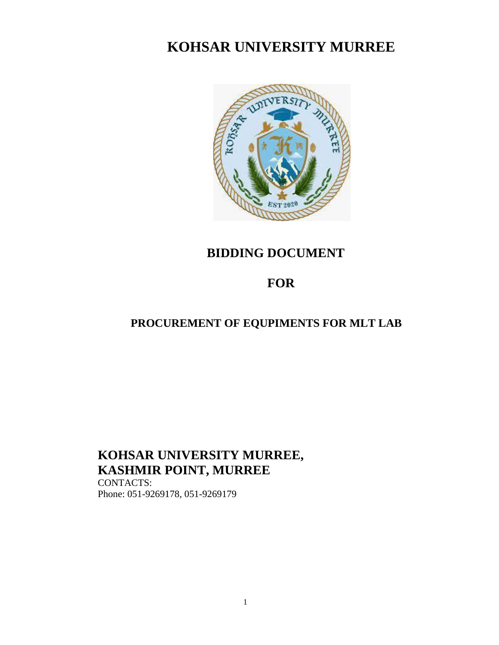# **KOHSAR UNIVERSITY MURREE**



## **BIDDING DOCUMENT**

## **FOR**

## **PROCUREMENT OF EQUPIMENTS FOR MLT LAB**

# **KOHSAR UNIVERSITY MURREE, KASHMIR POINT, MURREE**

CONTACTS: Phone: 051-9269178, 051-9269179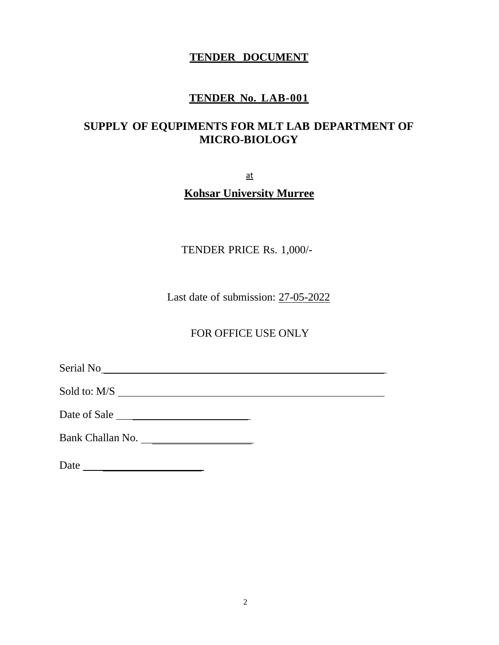### **TENDER DOCUMENT**

### **TENDER No. LAB-001**

### **SUPPLY OF EQUPIMENTS FOR MLT LAB DEPARTMENT OF MICRO-BIOLOGY**

at

### **Kohsar University Murree**

TENDER PRICE Rs. 1,000/-

Last date of submission: 27-05-2022

FOR OFFICE USE ONLY

Serial No

Sold to: M/S

Date of Sale

Bank Challan No.

Date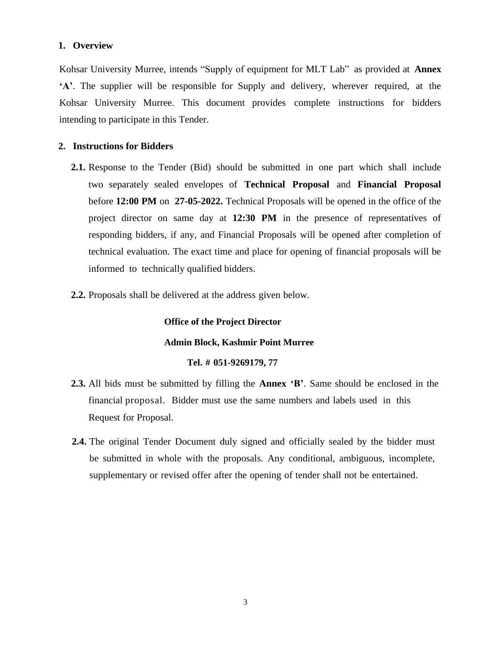#### **1. Overview**

Kohsar University Murree, intends "Supply of equipment for MLT Lab" as provided at **Annex 'A'**. The supplier will be responsible for Supply and delivery, wherever required, at the Kohsar University Murree. This document provides complete instructions for bidders intending to participate in this Tender.

#### **2. Instructions for Bidders**

- **2.1.** Response to the Tender (Bid) should be submitted in one part which shall include two separately sealed envelopes of **Technical Proposal** and **Financial Proposal** before **12:00 PM** on **27-05-2022.** Technical Proposals will be opened in the office of the project director on same day at **12:30 PM** in the presence of representatives of responding bidders, if any, and Financial Proposals will be opened after completion of technical evaluation. The exact time and place for opening of financial proposals will be informed to technically qualified bidders.
- **2.2.** Proposals shall be delivered at the address given below.

#### **Office of the Project Director**

#### **Admin Block, Kashmir Point Murree**

#### **Tel. # 051-9269179, 77**

- **2.3.** All bids must be submitted by filling the **Annex 'B'**. Same should be enclosed in the financial proposal. Bidder must use the same numbers and labels used in this Request for Proposal.
- **2.4.** The original Tender Document duly signed and officially sealed by the bidder must be submitted in whole with the proposals. Any conditional, ambiguous, incomplete, supplementary or revised offer after the opening of tender shall not be entertained.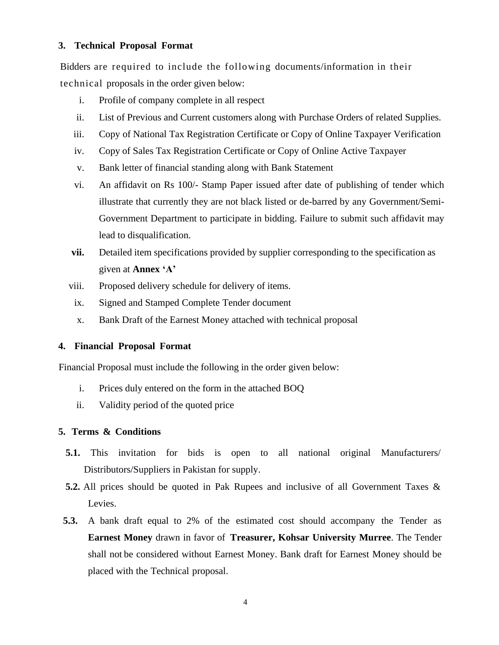#### **3. Technical Proposal Format**

Bidders are required to include the following documents/information in their technical proposals in the order given below:

- i. Profile of company complete in all respect
- ii. List of Previous and Current customers along with Purchase Orders of related Supplies.
- iii. Copy of National Tax Registration Certificate or Copy of Online Taxpayer Verification
- iv. Copy of Sales Tax Registration Certificate or Copy of Online Active Taxpayer
- v. Bank letter of financial standing along with Bank Statement
- vi. An affidavit on Rs 100/- Stamp Paper issued after date of publishing of tender which illustrate that currently they are not black listed or de-barred by any Government/Semi-Government Department to participate in bidding. Failure to submit such affidavit may lead to disqualification.
- **vii.** Detailed item specifications provided by supplier corresponding to the specification as given at **Annex 'A'**
- viii. Proposed delivery schedule for delivery of items.
- ix. Signed and Stamped Complete Tender document
- x. Bank Draft of the Earnest Money attached with technical proposal

#### **4. Financial Proposal Format**

Financial Proposal must include the following in the order given below:

- i. Prices duly entered on the form in the attached BOQ
- ii. Validity period of the quoted price

#### **5. Terms & Conditions**

- **5.1.** This invitation for bids is open to all national original Manufacturers/ Distributors/Suppliers in Pakistan for supply.
- **5.2.** All prices should be quoted in Pak Rupees and inclusive of all Government Taxes & Levies.
- **5.3.** A bank draft equal to 2% of the estimated cost should accompany the Tender as **Earnest Money** drawn in favor of **Treasurer, Kohsar University Murree**. The Tender shall not be considered without Earnest Money. Bank draft for Earnest Money should be placed with the Technical proposal.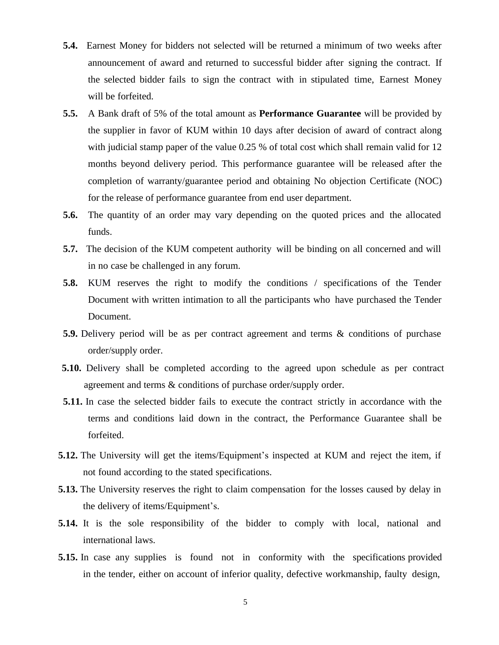- **5.4.** Earnest Money for bidders not selected will be returned a minimum of two weeks after announcement of award and returned to successful bidder after signing the contract. If the selected bidder fails to sign the contract with in stipulated time, Earnest Money will be forfeited.
- **5.5.** A Bank draft of 5% of the total amount as **Performance Guarantee** will be provided by the supplier in favor of KUM within 10 days after decision of award of contract along with judicial stamp paper of the value 0.25 % of total cost which shall remain valid for 12 months beyond delivery period. This performance guarantee will be released after the completion of warranty/guarantee period and obtaining No objection Certificate (NOC) for the release of performance guarantee from end user department.
- **5.6.** The quantity of an order may vary depending on the quoted prices and the allocated funds.
- **5.7.** The decision of the KUM competent authority will be binding on all concerned and will in no case be challenged in any forum.
- **5.8.** KUM reserves the right to modify the conditions / specifications of the Tender Document with written intimation to all the participants who have purchased the Tender Document.
- **5.9.** Delivery period will be as per contract agreement and terms & conditions of purchase order/supply order.
- **5.10.** Delivery shall be completed according to the agreed upon schedule as per contract agreement and terms & conditions of purchase order/supply order.
- **5.11.** In case the selected bidder fails to execute the contract strictly in accordance with the terms and conditions laid down in the contract, the Performance Guarantee shall be forfeited.
- **5.12.** The University will get the items/Equipment's inspected at KUM and reject the item, if not found according to the stated specifications.
- **5.13.** The University reserves the right to claim compensation for the losses caused by delay in the delivery of items/Equipment's.
- **5.14.** It is the sole responsibility of the bidder to comply with local, national and international laws.
- **5.15.** In case any supplies is found not in conformity with the specifications provided in the tender, either on account of inferior quality, defective workmanship, faulty design,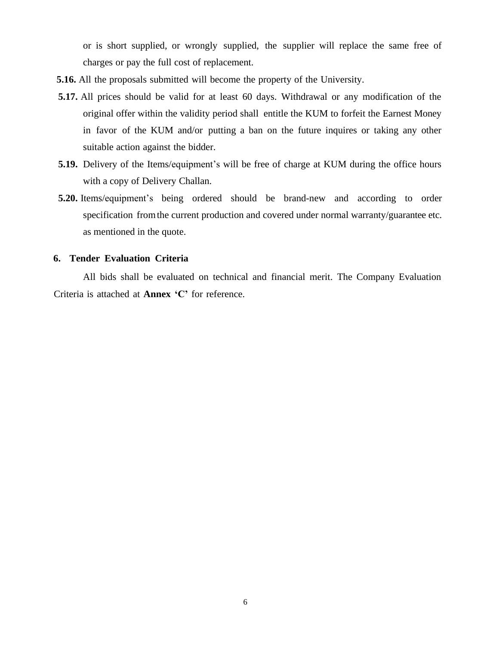or is short supplied, or wrongly supplied, the supplier will replace the same free of charges or pay the full cost of replacement.

- **5.16.** All the proposals submitted will become the property of the University.
- **5.17.** All prices should be valid for at least 60 days. Withdrawal or any modification of the original offer within the validity period shall entitle the KUM to forfeit the Earnest Money in favor of the KUM and/or putting a ban on the future inquires or taking any other suitable action against the bidder.
- **5.19.** Delivery of the Items/equipment's will be free of charge at KUM during the office hours with a copy of Delivery Challan.
- **5.20.** Items/equipment's being ordered should be brand-new and according to order specification fromthe current production and covered under normal warranty/guarantee etc. as mentioned in the quote.

#### **6. Tender Evaluation Criteria**

All bids shall be evaluated on technical and financial merit. The Company Evaluation Criteria is attached at **Annex 'C'** for reference.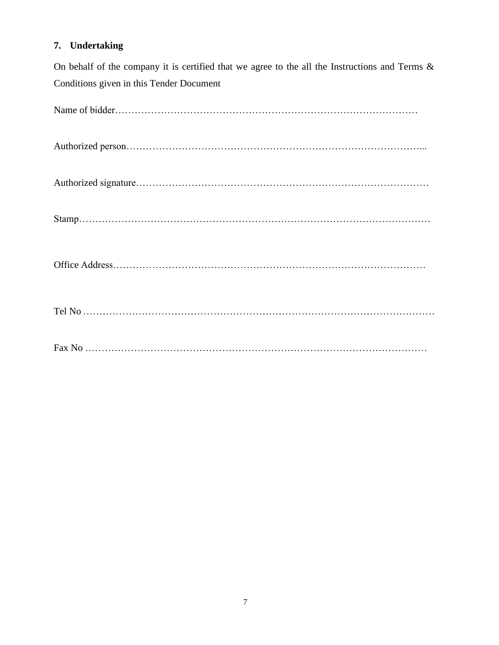### **7. Undertaking**

On behalf of the company it is certified that we agree to the all the Instructions and Terms & Conditions given in this Tender Document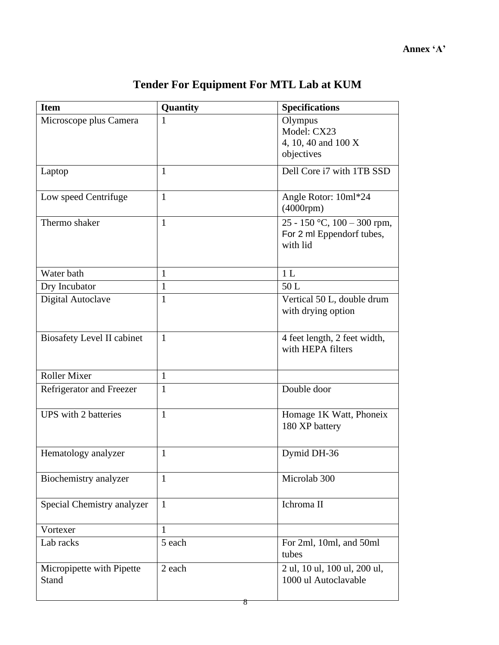| <b>Item</b>                               | Quantity     | <b>Specifications</b>                                                |
|-------------------------------------------|--------------|----------------------------------------------------------------------|
| Microscope plus Camera                    | 1            | Olympus<br>Model: CX23<br>4, 10, 40 and 100 X<br>objectives          |
| Laptop                                    | $\mathbf{1}$ | Dell Core i7 with 1TB SSD                                            |
| Low speed Centrifuge                      | $\mathbf{1}$ | Angle Rotor: 10ml*24<br>$(4000$ rpm $)$                              |
| Thermo shaker                             | $\mathbf{1}$ | 25 - 150 °C, 100 - 300 rpm,<br>For 2 ml Eppendorf tubes,<br>with lid |
| Water bath                                | 1            | 1 <sub>L</sub>                                                       |
| Dry Incubator                             | $\mathbf{1}$ | 50L                                                                  |
| Digital Autoclave                         | $\mathbf{1}$ | Vertical 50 L, double drum<br>with drying option                     |
| <b>Biosafety Level II cabinet</b>         | $\mathbf{1}$ | 4 feet length, 2 feet width,<br>with HEPA filters                    |
| <b>Roller Mixer</b>                       | 1            |                                                                      |
| Refrigerator and Freezer                  | $\mathbf{1}$ | Double door                                                          |
| <b>UPS</b> with 2 batteries               | $\mathbf{1}$ | Homage 1K Watt, Phoneix<br>180 XP battery                            |
| Hematology analyzer                       | 1            | Dymid DH-36                                                          |
| Biochemistry analyzer                     | 1            | Microlab 300                                                         |
| Special Chemistry analyzer                | $\mathbf{1}$ | Ichroma II                                                           |
| Vortexer                                  | $\mathbf{1}$ |                                                                      |
| Lab racks                                 | 5 each       | For 2ml, 10ml, and 50ml<br>tubes                                     |
| Micropipette with Pipette<br><b>Stand</b> | 2 each<br>8  | 2 ul, 10 ul, 100 ul, 200 ul,<br>1000 ul Autoclavable                 |

# **Tender For Equipment For MTL Lab at KUM**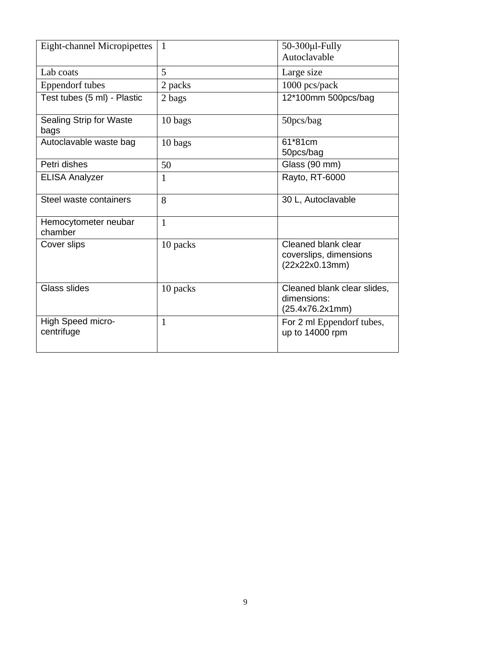| <b>Eight-channel Micropipettes</b> | 1            | $50-300$ µl-Fully<br>Autoclavable                               |
|------------------------------------|--------------|-----------------------------------------------------------------|
| Lab coats                          | 5            | Large size                                                      |
| <b>Eppendorf</b> tubes             | 2 packs      | 1000 pcs/pack                                                   |
| Test tubes (5 ml) - Plastic        | 2 bags       | 12*100mm 500pcs/bag                                             |
| Sealing Strip for Waste<br>bags    | 10 bags      | 50pcs/bag                                                       |
| Autoclavable waste bag             | 10 bags      | 61*81cm<br>50pcs/bag                                            |
| Petri dishes                       | 50           | Glass (90 mm)                                                   |
| <b>ELISA Analyzer</b>              | 1            | Rayto, RT-6000                                                  |
| Steel waste containers             | 8            | 30 L, Autoclavable                                              |
| Hemocytometer neubar<br>chamber    | $\mathbf{1}$ |                                                                 |
| Cover slips                        | 10 packs     | Cleaned blank clear<br>coverslips, dimensions<br>(22x22x0.13mm) |
| Glass slides                       | 10 packs     | Cleaned blank clear slides,<br>dimensions:<br>(25.4x76.2x1mm)   |
| High Speed micro-<br>centrifuge    | 1            | For 2 ml Eppendorf tubes,<br>up to 14000 rpm                    |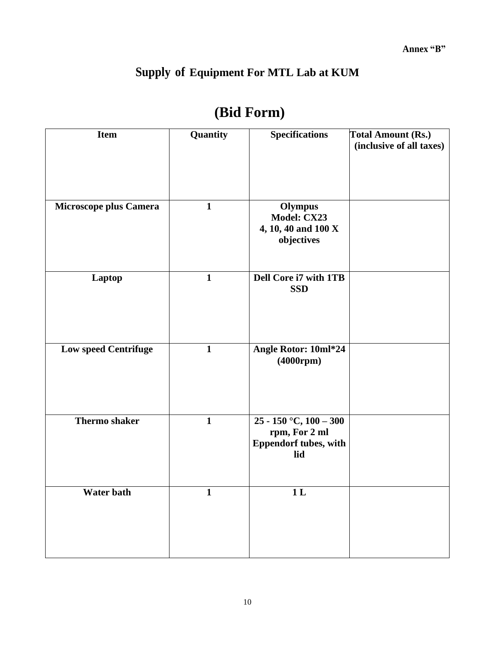# **Supply of Equipment For MTL Lab at KUM**

| <b>Item</b>                 | Quantity     | <b>Specifications</b>                                                              | <b>Total Amount (Rs.)</b><br>(inclusive of all taxes) |
|-----------------------------|--------------|------------------------------------------------------------------------------------|-------------------------------------------------------|
|                             |              |                                                                                    |                                                       |
| Microscope plus Camera      | $\mathbf{1}$ | Olympus<br>Model: CX23<br>4, 10, 40 and 100 X<br>objectives                        |                                                       |
| Laptop                      | $\mathbf{1}$ | Dell Core i7 with 1TB<br><b>SSD</b>                                                |                                                       |
| <b>Low speed Centrifuge</b> | $\mathbf{1}$ | Angle Rotor: 10ml*24<br>$(4000$ rpm $)$                                            |                                                       |
| Thermo shaker               | $\mathbf{1}$ | $25 - 150$ °C, $100 - 300$<br>rpm, For 2 ml<br><b>Eppendorf tubes, with</b><br>lid |                                                       |
| <b>Water bath</b>           | 1            | 1 <sub>L</sub>                                                                     |                                                       |

# **(Bid Form)**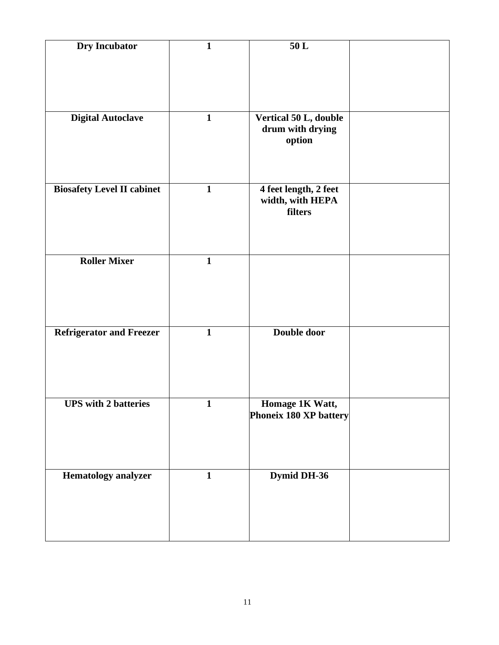| Dry Incubator                     | $\mathbf{1}$ | $50\,\mathrm{L}$                          |  |
|-----------------------------------|--------------|-------------------------------------------|--|
|                                   |              |                                           |  |
|                                   |              |                                           |  |
| <b>Digital Autoclave</b>          | $\mathbf{1}$ | Vertical 50 L, double<br>drum with drying |  |
|                                   |              | option                                    |  |
|                                   |              |                                           |  |
| <b>Biosafety Level II cabinet</b> | $\mathbf{1}$ | 4 feet length, 2 feet<br>width, with HEPA |  |
|                                   |              | filters                                   |  |
|                                   |              |                                           |  |
| <b>Roller Mixer</b>               | $\mathbf{1}$ |                                           |  |
|                                   |              |                                           |  |
|                                   |              |                                           |  |
| <b>Refrigerator and Freezer</b>   | $\mathbf{1}$ | Double door                               |  |
|                                   |              |                                           |  |
|                                   |              |                                           |  |
| <b>UPS</b> with 2 batteries       | $\mathbf{1}$ | Homage 1K Watt,<br>Phoneix 180 XP battery |  |
|                                   |              |                                           |  |
|                                   |              |                                           |  |
| <b>Hematology</b> analyzer        | $\mathbf{1}$ | Dymid DH-36                               |  |
|                                   |              |                                           |  |
|                                   |              |                                           |  |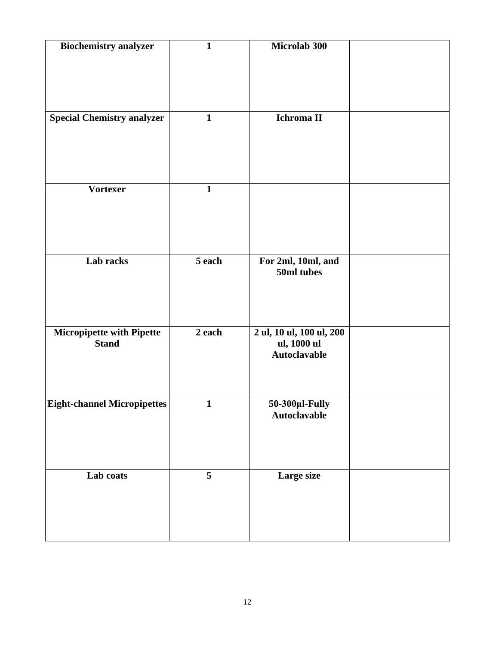| <b>Biochemistry analyzer</b>                     | $\mathbf{1}$ | Microlab 300                                                   |  |
|--------------------------------------------------|--------------|----------------------------------------------------------------|--|
| <b>Special Chemistry analyzer</b>                | $\mathbf{1}$ | Ichroma II                                                     |  |
| <b>Vortexer</b>                                  | $\mathbf{1}$ |                                                                |  |
| Lab racks                                        | 5 each       | For 2ml, 10ml, and<br>50ml tubes                               |  |
| <b>Micropipette with Pipette</b><br><b>Stand</b> | 2 each       | 2 ul, 10 ul, 100 ul, 200<br>ul, 1000 ul<br><b>Autoclavable</b> |  |
| Eight-channel Micropipettes                      | 1            | 50-300µl-Fully<br><b>Autoclavable</b>                          |  |
| Lab coats                                        | 5            | Large size                                                     |  |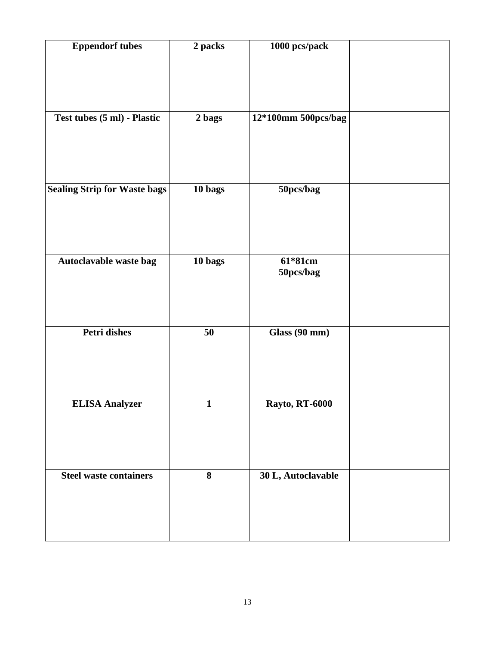| <b>Eppendorf tubes</b>              | 2 packs      | 1000 pcs/pack         |  |
|-------------------------------------|--------------|-----------------------|--|
|                                     |              |                       |  |
|                                     |              |                       |  |
| Test tubes (5 ml) - Plastic         | 2 bags       | 12*100mm 500pcs/bag   |  |
|                                     |              |                       |  |
|                                     |              |                       |  |
|                                     |              |                       |  |
| <b>Sealing Strip for Waste bags</b> | 10 bags      | 50pcs/bag             |  |
|                                     |              |                       |  |
|                                     |              |                       |  |
| Autoclavable waste bag              | 10 bags      | 61*81cm               |  |
|                                     |              | 50pcs/bag             |  |
|                                     |              |                       |  |
|                                     |              |                       |  |
| <b>Petri dishes</b>                 | 50           | Glass (90 mm)         |  |
|                                     |              |                       |  |
|                                     |              |                       |  |
| <b>ELISA Analyzer</b>               | $\mathbf{1}$ | <b>Rayto, RT-6000</b> |  |
|                                     |              |                       |  |
|                                     |              |                       |  |
|                                     |              |                       |  |
| <b>Steel waste containers</b>       | 8            | 30 L, Autoclavable    |  |
|                                     |              |                       |  |
|                                     |              |                       |  |
|                                     |              |                       |  |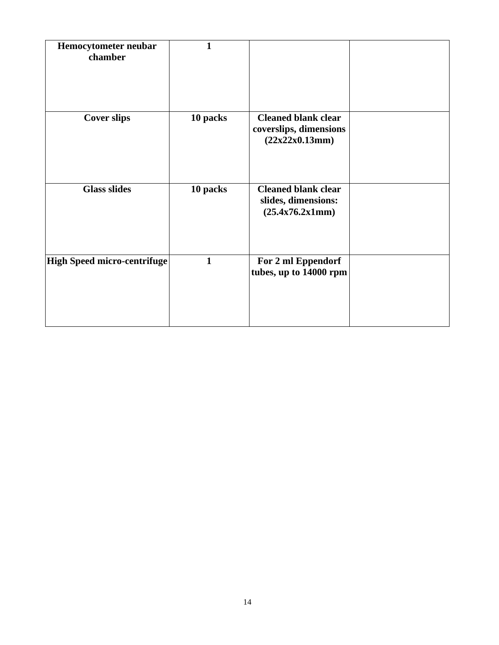| Hemocytometer neubar<br>chamber    | 1            |                                                                        |  |
|------------------------------------|--------------|------------------------------------------------------------------------|--|
| <b>Cover slips</b>                 | 10 packs     | <b>Cleaned blank clear</b><br>coverslips, dimensions<br>(22x22x0.13mm) |  |
| <b>Glass slides</b>                | 10 packs     | <b>Cleaned blank clear</b><br>slides, dimensions:<br>(25.4x76.2x1mm)   |  |
| <b>High Speed micro-centrifuge</b> | $\mathbf{1}$ | For 2 ml Eppendorf<br>tubes, up to 14000 rpm                           |  |